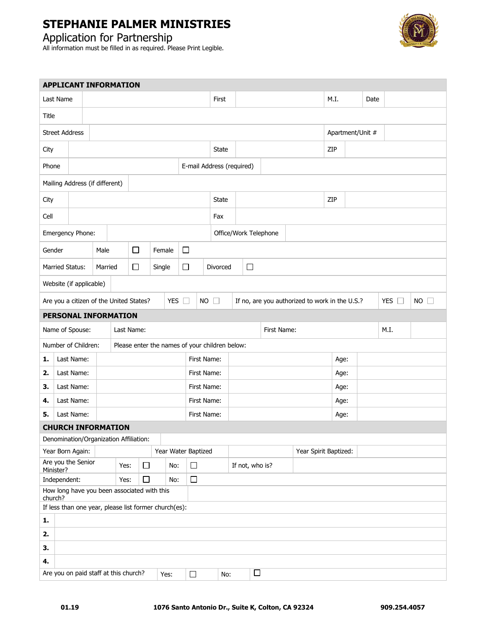#### Application for Partnership



| <b>APPLICANT INFORMATION</b>                          |                                                                          |  |         |      |                                                |        |     |             |             |                                                |        |                       |  |      |      |                  |  |               |           |  |  |
|-------------------------------------------------------|--------------------------------------------------------------------------|--|---------|------|------------------------------------------------|--------|-----|-------------|-------------|------------------------------------------------|--------|-----------------------|--|------|------|------------------|--|---------------|-----------|--|--|
|                                                       | Last Name                                                                |  |         |      |                                                |        |     |             |             | First                                          |        |                       |  |      |      | M.I.             |  | Date          |           |  |  |
| Title                                                 |                                                                          |  |         |      |                                                |        |     |             |             |                                                |        |                       |  |      |      |                  |  |               |           |  |  |
|                                                       | <b>Street Address</b>                                                    |  |         |      |                                                |        |     |             |             |                                                |        |                       |  |      |      | Apartment/Unit # |  |               |           |  |  |
| City                                                  |                                                                          |  |         |      |                                                |        |     |             |             | <b>State</b>                                   |        |                       |  |      | ZIP  |                  |  |               |           |  |  |
| E-mail Address (required)<br>Phone                    |                                                                          |  |         |      |                                                |        |     |             |             |                                                |        |                       |  |      |      |                  |  |               |           |  |  |
| Mailing Address (if different)                        |                                                                          |  |         |      |                                                |        |     |             |             |                                                |        |                       |  |      |      |                  |  |               |           |  |  |
| City                                                  |                                                                          |  |         |      |                                                |        |     |             |             | State                                          |        |                       |  |      | ZIP  |                  |  |               |           |  |  |
| Cell                                                  |                                                                          |  |         |      |                                                |        |     |             |             | Fax                                            |        |                       |  |      |      |                  |  |               |           |  |  |
|                                                       | Emergency Phone:                                                         |  |         |      |                                                |        |     |             |             | Office/Work Telephone                          |        |                       |  |      |      |                  |  |               |           |  |  |
| Gender                                                |                                                                          |  | Male    |      | □                                              | Female |     | □           |             |                                                |        |                       |  |      |      |                  |  |               |           |  |  |
|                                                       | <b>Married Status:</b>                                                   |  | Married |      | □                                              | Single |     | □           |             | Divorced                                       | $\Box$ |                       |  |      |      |                  |  |               |           |  |  |
|                                                       | Website (if applicable)                                                  |  |         |      |                                                |        |     |             |             |                                                |        |                       |  |      |      |                  |  |               |           |  |  |
| YES $\Box$<br>Are you a citizen of the United States? |                                                                          |  |         |      |                                                |        |     | $NO$ $\Box$ |             | If no, are you authorized to work in the U.S.? |        |                       |  |      |      |                  |  | YES $\square$ | $NO \Box$ |  |  |
| <b>PERSONAL INFORMATION</b>                           |                                                                          |  |         |      |                                                |        |     |             |             |                                                |        |                       |  |      |      |                  |  |               |           |  |  |
| First Name:<br>M.I.<br>Name of Spouse:<br>Last Name:  |                                                                          |  |         |      |                                                |        |     |             |             |                                                |        |                       |  |      |      |                  |  |               |           |  |  |
|                                                       | Number of Children:                                                      |  |         |      | Please enter the names of your children below: |        |     |             |             |                                                |        |                       |  |      |      |                  |  |               |           |  |  |
| 1.                                                    | Last Name:                                                               |  |         |      |                                                |        |     |             | First Name: |                                                |        |                       |  | Age: |      |                  |  |               |           |  |  |
| 2.                                                    | Last Name:                                                               |  |         |      |                                                |        |     |             | First Name: |                                                |        |                       |  |      | Age: |                  |  |               |           |  |  |
| З.                                                    | Last Name:                                                               |  |         |      |                                                |        |     |             | First Name: |                                                |        |                       |  |      |      | Age:             |  |               |           |  |  |
| 4.                                                    | Last Name:                                                               |  |         |      |                                                |        |     |             | First Name: |                                                |        |                       |  |      |      | Age:             |  |               |           |  |  |
| 5.                                                    | Last Name:                                                               |  |         |      |                                                |        |     |             | First Name: |                                                |        |                       |  | Age: |      |                  |  |               |           |  |  |
|                                                       | <b>CHURCH INFORMATION</b>                                                |  |         |      |                                                |        |     |             |             |                                                |        |                       |  |      |      |                  |  |               |           |  |  |
|                                                       | Denomination/Organization Affiliation:                                   |  |         |      |                                                |        |     |             |             |                                                |        |                       |  |      |      |                  |  |               |           |  |  |
|                                                       | Year Born Again:<br>Are you the Senior                                   |  |         |      | Year Water Baptized                            |        |     |             |             |                                                |        | Year Spirit Baptized: |  |      |      |                  |  |               |           |  |  |
|                                                       | Minister?                                                                |  |         | Yes: | $\Box$                                         |        | No: | $\Box$      |             | If not, who is?                                |        |                       |  |      |      |                  |  |               |           |  |  |
|                                                       | Independent:                                                             |  |         | Yes: | $\Box$                                         |        | No: | $\Box$      |             |                                                |        |                       |  |      |      |                  |  |               |           |  |  |
| church?                                               | How long have you been associated with this                              |  |         |      |                                                |        |     |             |             |                                                |        |                       |  |      |      |                  |  |               |           |  |  |
|                                                       | If less than one year, please list former church(es):                    |  |         |      |                                                |        |     |             |             |                                                |        |                       |  |      |      |                  |  |               |           |  |  |
| $\mathbf{1}$ .                                        |                                                                          |  |         |      |                                                |        |     |             |             |                                                |        |                       |  |      |      |                  |  |               |           |  |  |
| 2.                                                    |                                                                          |  |         |      |                                                |        |     |             |             |                                                |        |                       |  |      |      |                  |  |               |           |  |  |
| 3.                                                    |                                                                          |  |         |      |                                                |        |     |             |             |                                                |        |                       |  |      |      |                  |  |               |           |  |  |
| 4.                                                    |                                                                          |  |         |      |                                                |        |     |             |             |                                                |        |                       |  |      |      |                  |  |               |           |  |  |
|                                                       | $\Box$<br>Are you on paid staff at this church?<br>$\Box$<br>Yes:<br>No: |  |         |      |                                                |        |     |             |             |                                                |        |                       |  |      |      |                  |  |               |           |  |  |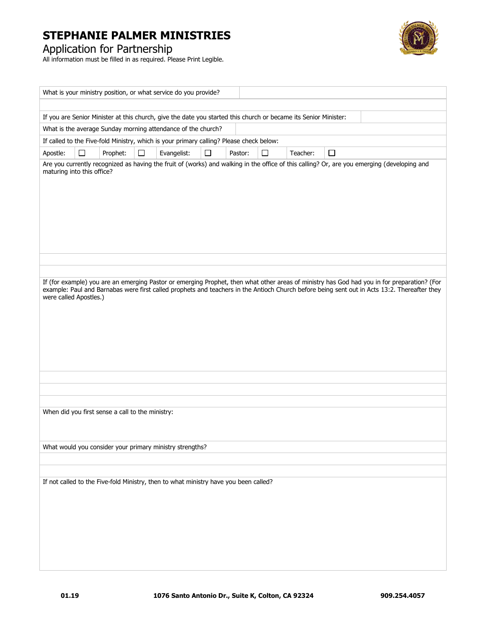



|                                                                                                                                                                           |        |                                                  |        | What is your ministry position, or what service do you provide?                      |   |         |        |          |                                                                                                                                              |  |  |  |
|---------------------------------------------------------------------------------------------------------------------------------------------------------------------------|--------|--------------------------------------------------|--------|--------------------------------------------------------------------------------------|---|---------|--------|----------|----------------------------------------------------------------------------------------------------------------------------------------------|--|--|--|
|                                                                                                                                                                           |        |                                                  |        |                                                                                      |   |         |        |          |                                                                                                                                              |  |  |  |
| If you are Senior Minister at this church, give the date you started this church or became its Senior Minister:                                                           |        |                                                  |        |                                                                                      |   |         |        |          |                                                                                                                                              |  |  |  |
| What is the average Sunday morning attendance of the church?<br>If called to the Five-fold Ministry, which is your primary calling? Please check below:                   |        |                                                  |        |                                                                                      |   |         |        |          |                                                                                                                                              |  |  |  |
|                                                                                                                                                                           |        |                                                  |        |                                                                                      |   |         |        |          |                                                                                                                                              |  |  |  |
| Apostle:                                                                                                                                                                  | $\Box$ | Prophet:                                         | $\Box$ | Evangelist:                                                                          | □ | Pastor: | $\Box$ | Teacher: | $\Box$                                                                                                                                       |  |  |  |
| Are you currently recognized as having the fruit of (works) and walking in the office of this calling? Or, are you emerging (developing and<br>maturing into this office? |        |                                                  |        |                                                                                      |   |         |        |          |                                                                                                                                              |  |  |  |
|                                                                                                                                                                           |        |                                                  |        |                                                                                      |   |         |        |          |                                                                                                                                              |  |  |  |
|                                                                                                                                                                           |        |                                                  |        |                                                                                      |   |         |        |          |                                                                                                                                              |  |  |  |
|                                                                                                                                                                           |        |                                                  |        |                                                                                      |   |         |        |          |                                                                                                                                              |  |  |  |
|                                                                                                                                                                           |        |                                                  |        |                                                                                      |   |         |        |          |                                                                                                                                              |  |  |  |
|                                                                                                                                                                           |        |                                                  |        |                                                                                      |   |         |        |          |                                                                                                                                              |  |  |  |
|                                                                                                                                                                           |        |                                                  |        |                                                                                      |   |         |        |          |                                                                                                                                              |  |  |  |
|                                                                                                                                                                           |        |                                                  |        |                                                                                      |   |         |        |          |                                                                                                                                              |  |  |  |
|                                                                                                                                                                           |        |                                                  |        |                                                                                      |   |         |        |          |                                                                                                                                              |  |  |  |
|                                                                                                                                                                           |        |                                                  |        |                                                                                      |   |         |        |          | If (for example) you are an emerging Pastor or emerging Prophet, then what other areas of ministry has God had you in for preparation? (For  |  |  |  |
| were called Apostles.)                                                                                                                                                    |        |                                                  |        |                                                                                      |   |         |        |          | example: Paul and Barnabas were first called prophets and teachers in the Antioch Church before being sent out in Acts 13:2. Thereafter they |  |  |  |
|                                                                                                                                                                           |        |                                                  |        |                                                                                      |   |         |        |          |                                                                                                                                              |  |  |  |
|                                                                                                                                                                           |        |                                                  |        |                                                                                      |   |         |        |          |                                                                                                                                              |  |  |  |
|                                                                                                                                                                           |        |                                                  |        |                                                                                      |   |         |        |          |                                                                                                                                              |  |  |  |
|                                                                                                                                                                           |        |                                                  |        |                                                                                      |   |         |        |          |                                                                                                                                              |  |  |  |
|                                                                                                                                                                           |        |                                                  |        |                                                                                      |   |         |        |          |                                                                                                                                              |  |  |  |
|                                                                                                                                                                           |        |                                                  |        |                                                                                      |   |         |        |          |                                                                                                                                              |  |  |  |
|                                                                                                                                                                           |        |                                                  |        |                                                                                      |   |         |        |          |                                                                                                                                              |  |  |  |
|                                                                                                                                                                           |        |                                                  |        |                                                                                      |   |         |        |          |                                                                                                                                              |  |  |  |
|                                                                                                                                                                           |        |                                                  |        |                                                                                      |   |         |        |          |                                                                                                                                              |  |  |  |
|                                                                                                                                                                           |        | When did you first sense a call to the ministry: |        |                                                                                      |   |         |        |          |                                                                                                                                              |  |  |  |
|                                                                                                                                                                           |        |                                                  |        |                                                                                      |   |         |        |          |                                                                                                                                              |  |  |  |
|                                                                                                                                                                           |        |                                                  |        |                                                                                      |   |         |        |          |                                                                                                                                              |  |  |  |
|                                                                                                                                                                           |        |                                                  |        | What would you consider your primary ministry strengths?                             |   |         |        |          |                                                                                                                                              |  |  |  |
|                                                                                                                                                                           |        |                                                  |        |                                                                                      |   |         |        |          |                                                                                                                                              |  |  |  |
|                                                                                                                                                                           |        |                                                  |        | If not called to the Five-fold Ministry, then to what ministry have you been called? |   |         |        |          |                                                                                                                                              |  |  |  |
|                                                                                                                                                                           |        |                                                  |        |                                                                                      |   |         |        |          |                                                                                                                                              |  |  |  |
|                                                                                                                                                                           |        |                                                  |        |                                                                                      |   |         |        |          |                                                                                                                                              |  |  |  |
|                                                                                                                                                                           |        |                                                  |        |                                                                                      |   |         |        |          |                                                                                                                                              |  |  |  |
|                                                                                                                                                                           |        |                                                  |        |                                                                                      |   |         |        |          |                                                                                                                                              |  |  |  |
|                                                                                                                                                                           |        |                                                  |        |                                                                                      |   |         |        |          |                                                                                                                                              |  |  |  |
|                                                                                                                                                                           |        |                                                  |        |                                                                                      |   |         |        |          |                                                                                                                                              |  |  |  |
|                                                                                                                                                                           |        |                                                  |        |                                                                                      |   |         |        |          |                                                                                                                                              |  |  |  |
|                                                                                                                                                                           |        |                                                  |        |                                                                                      |   |         |        |          |                                                                                                                                              |  |  |  |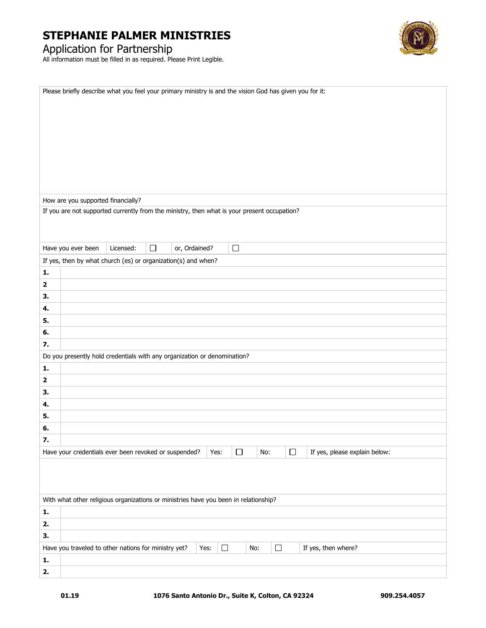



| How are you supported financially?<br>If you are not supported currently from the ministry, then what is your present occupation?<br>$\Box$<br>Licensed:<br>$\Box$<br>Have you ever been<br>or, Ordained?<br>If yes, then by what church (es) or organization(s) and when?<br>1.<br>$\mathbf 2$ |
|-------------------------------------------------------------------------------------------------------------------------------------------------------------------------------------------------------------------------------------------------------------------------------------------------|
|                                                                                                                                                                                                                                                                                                 |
|                                                                                                                                                                                                                                                                                                 |
|                                                                                                                                                                                                                                                                                                 |
|                                                                                                                                                                                                                                                                                                 |
|                                                                                                                                                                                                                                                                                                 |
|                                                                                                                                                                                                                                                                                                 |
|                                                                                                                                                                                                                                                                                                 |
|                                                                                                                                                                                                                                                                                                 |
|                                                                                                                                                                                                                                                                                                 |
|                                                                                                                                                                                                                                                                                                 |
|                                                                                                                                                                                                                                                                                                 |
|                                                                                                                                                                                                                                                                                                 |
|                                                                                                                                                                                                                                                                                                 |
|                                                                                                                                                                                                                                                                                                 |
|                                                                                                                                                                                                                                                                                                 |
|                                                                                                                                                                                                                                                                                                 |
| 3.                                                                                                                                                                                                                                                                                              |
| 4.                                                                                                                                                                                                                                                                                              |
| 5.                                                                                                                                                                                                                                                                                              |
| 6.                                                                                                                                                                                                                                                                                              |
| 7.                                                                                                                                                                                                                                                                                              |
| Do you presently hold credentials with any organization or denomination?                                                                                                                                                                                                                        |
| 1.                                                                                                                                                                                                                                                                                              |
| $\mathbf 2$                                                                                                                                                                                                                                                                                     |
| 3.                                                                                                                                                                                                                                                                                              |
| 4.                                                                                                                                                                                                                                                                                              |
| 5.                                                                                                                                                                                                                                                                                              |
| 6.                                                                                                                                                                                                                                                                                              |
| 7.                                                                                                                                                                                                                                                                                              |
| $\Box$                                                                                                                                                                                                                                                                                          |
| Have your credentials ever been revoked or suspended?<br>Yes:<br>No:<br>□<br>If yes, please explain below:                                                                                                                                                                                      |
|                                                                                                                                                                                                                                                                                                 |
|                                                                                                                                                                                                                                                                                                 |
|                                                                                                                                                                                                                                                                                                 |
| With what other religious organizations or ministries have you been in relationship?<br>1.                                                                                                                                                                                                      |
| 2.                                                                                                                                                                                                                                                                                              |
| 3.                                                                                                                                                                                                                                                                                              |
| $\Box$<br>$\Box$<br>Have you traveled to other nations for ministry yet?<br>Yes:<br>No:<br>If yes, then where?                                                                                                                                                                                  |
| ${\bf 1}.$                                                                                                                                                                                                                                                                                      |
| 2.                                                                                                                                                                                                                                                                                              |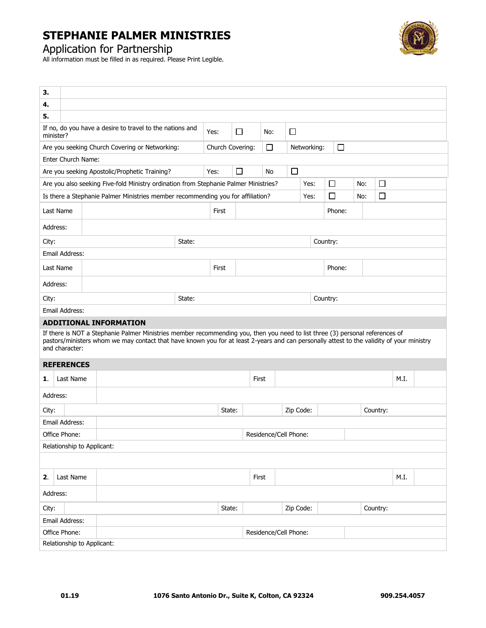

Application for Partnership

| 3.                                                                                                                                                                                                                                                                                                                            |                            |                                                                                 |                                                                                              |       |                |          |          |                       |        |           |        |          |  |          |      |  |
|-------------------------------------------------------------------------------------------------------------------------------------------------------------------------------------------------------------------------------------------------------------------------------------------------------------------------------|----------------------------|---------------------------------------------------------------------------------|----------------------------------------------------------------------------------------------|-------|----------------|----------|----------|-----------------------|--------|-----------|--------|----------|--|----------|------|--|
| 4.                                                                                                                                                                                                                                                                                                                            |                            |                                                                                 |                                                                                              |       |                |          |          |                       |        |           |        |          |  |          |      |  |
| 5.                                                                                                                                                                                                                                                                                                                            |                            |                                                                                 |                                                                                              |       |                |          |          |                       |        |           |        |          |  |          |      |  |
| minister?                                                                                                                                                                                                                                                                                                                     |                            | If no, do you have a desire to travel to the nations and                        | Yes:                                                                                         | □     |                | □<br>No: |          |                       |        |           |        |          |  |          |      |  |
|                                                                                                                                                                                                                                                                                                                               |                            | Are you seeking Church Covering or Networking:                                  | $\Box$<br>Church Covering:<br>Networking:                                                    |       |                |          |          |                       | $\Box$ |           |        |          |  |          |      |  |
| Enter Church Name:                                                                                                                                                                                                                                                                                                            |                            |                                                                                 |                                                                                              |       |                |          |          |                       |        |           |        |          |  |          |      |  |
|                                                                                                                                                                                                                                                                                                                               |                            | Are you seeking Apostolic/Prophetic Training?                                   |                                                                                              |       | Yes:           | □        | No       |                       | □      |           |        |          |  |          |      |  |
|                                                                                                                                                                                                                                                                                                                               |                            |                                                                                 | Are you also seeking Five-fold Ministry ordination from Stephanie Palmer Ministries?<br>Yes: |       |                |          |          | $\Box$                | No:    | $\Box$    |        |          |  |          |      |  |
|                                                                                                                                                                                                                                                                                                                               |                            | Is there a Stephanie Palmer Ministries member recommending you for affiliation? |                                                                                              |       | $\Box$<br>Yes: |          |          |                       |        | No:       | $\Box$ |          |  |          |      |  |
| Last Name                                                                                                                                                                                                                                                                                                                     |                            |                                                                                 |                                                                                              | First |                | Phone:   |          |                       |        |           |        |          |  |          |      |  |
| Address:                                                                                                                                                                                                                                                                                                                      |                            |                                                                                 |                                                                                              |       |                |          |          |                       |        |           |        |          |  |          |      |  |
| City:                                                                                                                                                                                                                                                                                                                         |                            |                                                                                 |                                                                                              |       | State:         |          |          |                       |        |           |        | Country: |  |          |      |  |
| Email Address:                                                                                                                                                                                                                                                                                                                |                            |                                                                                 |                                                                                              |       |                |          |          |                       |        |           |        |          |  |          |      |  |
| Last Name                                                                                                                                                                                                                                                                                                                     |                            |                                                                                 |                                                                                              | First |                |          |          |                       |        | Phone:    |        |          |  |          |      |  |
| Address:                                                                                                                                                                                                                                                                                                                      |                            |                                                                                 |                                                                                              |       |                |          |          |                       |        |           |        |          |  |          |      |  |
| State:<br>City:                                                                                                                                                                                                                                                                                                               |                            |                                                                                 |                                                                                              |       |                |          | Country: |                       |        |           |        |          |  |          |      |  |
|                                                                                                                                                                                                                                                                                                                               | Email Address:             |                                                                                 |                                                                                              |       |                |          |          |                       |        |           |        |          |  |          |      |  |
| <b>ADDITIONAL INFORMATION</b><br>If there is NOT a Stephanie Palmer Ministries member recommending you, then you need to list three (3) personal references of<br>pastors/ministers whom we may contact that have known you for at least 2-years and can personally attest to the validity of your ministry<br>and character: |                            |                                                                                 |                                                                                              |       |                |          |          |                       |        |           |        |          |  |          |      |  |
|                                                                                                                                                                                                                                                                                                                               | <b>REFERENCES</b>          |                                                                                 |                                                                                              |       |                |          |          |                       |        |           |        |          |  |          |      |  |
| 1.                                                                                                                                                                                                                                                                                                                            | Last Name                  |                                                                                 |                                                                                              |       |                |          |          | First                 |        |           |        |          |  |          | M.I. |  |
| Address:                                                                                                                                                                                                                                                                                                                      |                            |                                                                                 |                                                                                              |       |                |          |          |                       |        |           |        |          |  |          |      |  |
| City:                                                                                                                                                                                                                                                                                                                         |                            |                                                                                 |                                                                                              |       |                | State:   |          |                       |        | Zip Code: |        |          |  | Country: |      |  |
|                                                                                                                                                                                                                                                                                                                               | Email Address:             |                                                                                 |                                                                                              |       |                |          |          |                       |        |           |        |          |  |          |      |  |
|                                                                                                                                                                                                                                                                                                                               | Office Phone:              |                                                                                 |                                                                                              |       |                |          |          | Residence/Cell Phone: |        |           |        |          |  |          |      |  |
|                                                                                                                                                                                                                                                                                                                               |                            | Relationship to Applicant:                                                      |                                                                                              |       |                |          |          |                       |        |           |        |          |  |          |      |  |
|                                                                                                                                                                                                                                                                                                                               |                            |                                                                                 |                                                                                              |       |                |          |          |                       |        |           |        |          |  |          |      |  |
| 2.                                                                                                                                                                                                                                                                                                                            | Last Name                  |                                                                                 |                                                                                              |       |                |          |          | First                 |        |           |        |          |  |          | M.I. |  |
| Address:                                                                                                                                                                                                                                                                                                                      |                            |                                                                                 |                                                                                              |       |                |          |          |                       |        |           |        |          |  |          |      |  |
| City:                                                                                                                                                                                                                                                                                                                         |                            |                                                                                 |                                                                                              |       |                | State:   |          |                       |        | Zip Code: |        |          |  | Country: |      |  |
|                                                                                                                                                                                                                                                                                                                               | Email Address:             |                                                                                 |                                                                                              |       |                |          |          |                       |        |           |        |          |  |          |      |  |
|                                                                                                                                                                                                                                                                                                                               | Office Phone:              |                                                                                 | Residence/Cell Phone:                                                                        |       |                |          |          |                       |        |           |        |          |  |          |      |  |
|                                                                                                                                                                                                                                                                                                                               | Relationship to Applicant: |                                                                                 |                                                                                              |       |                |          |          |                       |        |           |        |          |  |          |      |  |